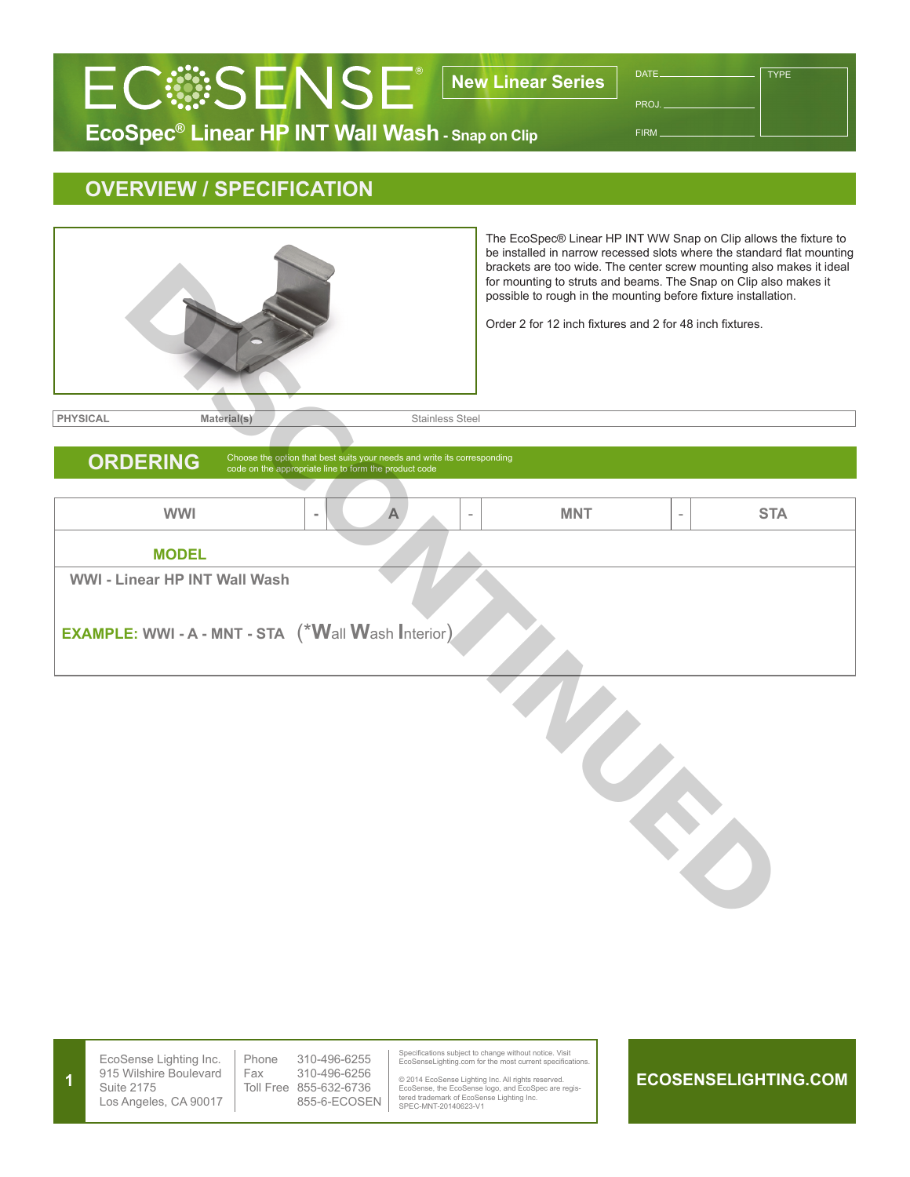## **EcoSpec® Linear HP INT Wall Wash - Snap on Clip ECSSENSE**<sup>®</sup> New Linear Series

DATE. PROJ. FIRM

TYPE



|  | EcoSense Lighting Inc.<br>915 Wilshire Boulevard<br>Suite 2175<br>Los Angeles, CA 90017 | Phone<br>Fax<br>Toll Free | 310-496-6255<br>310-496-6256<br>855-632-6736<br>855-6-ECOSEN |  | Specifications subject to change without notice. Visit<br>EcoSenseLighting.com for the most current specifications.<br>© 2014 EcoSense Lighting Inc. All rights reserved.<br>EcoSense, the EcoSense logo, and EcoSpec are regis-<br>tered trademark of EcoSense Lighting Inc.<br>SPEC-MNT-20140623-V1 |  | E |
|--|-----------------------------------------------------------------------------------------|---------------------------|--------------------------------------------------------------|--|-------------------------------------------------------------------------------------------------------------------------------------------------------------------------------------------------------------------------------------------------------------------------------------------------------|--|---|
|--|-----------------------------------------------------------------------------------------|---------------------------|--------------------------------------------------------------|--|-------------------------------------------------------------------------------------------------------------------------------------------------------------------------------------------------------------------------------------------------------------------------------------------------------|--|---|

## **ECOSENSELIGHTING.COM**